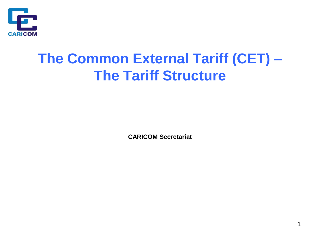

# **The Common External Tariff (CET) – The Tariff Structure**

**CARICOM Secretariat**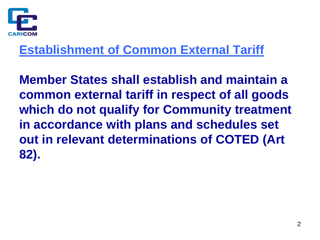

#### **Establishment of Common External Tariff**

**Member States shall establish and maintain a common external tariff in respect of all goods which do not qualify for Community treatment in accordance with plans and schedules set out in relevant determinations of COTED (Art 82).**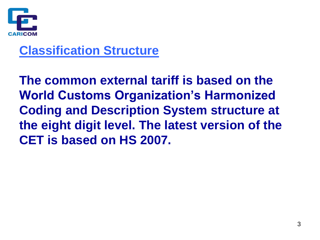

#### **Classification Structure**

**The common external tariff is based on the World Customs Organization's Harmonized Coding and Description System structure at the eight digit level. The latest version of the CET is based on HS 2007.**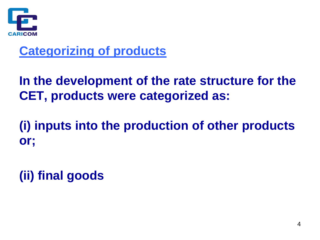

#### **Categorizing of products**

**In the development of the rate structure for the CET, products were categorized as:**

**(i) inputs into the production of other products or;**

**(ii) final goods**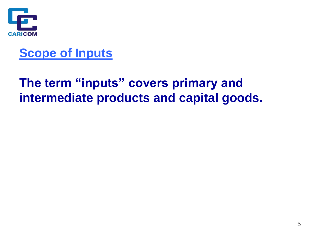

#### **Scope of Inputs**

#### **The term "inputs" covers primary and intermediate products and capital goods.**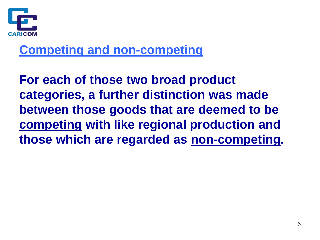

#### **Competing and non-competing**

**For each of those two broad product categories, a further distinction was made between those goods that are deemed to be competing with like regional production and those which are regarded as non-competing.**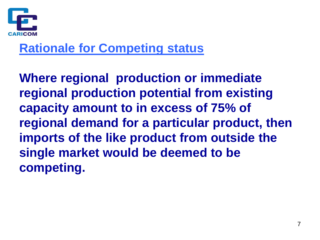

#### **Rationale for Competing status**

**Where regional production or immediate regional production potential from existing capacity amount to in excess of 75% of regional demand for a particular product, then imports of the like product from outside the single market would be deemed to be competing.**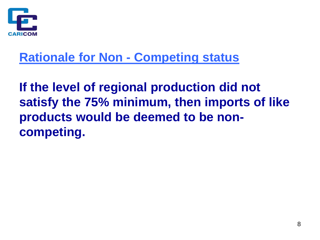

#### **Rationale for Non - Competing status**

**If the level of regional production did not satisfy the 75% minimum, then imports of like products would be deemed to be noncompeting.**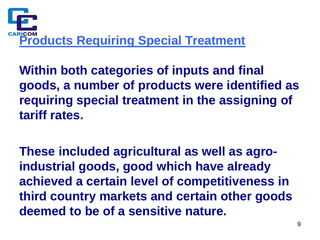

**Within both categories of inputs and final goods, a number of products were identified as requiring special treatment in the assigning of tariff rates.**

**These included agricultural as well as agroindustrial goods, good which have already achieved a certain level of competitiveness in third country markets and certain other goods deemed to be of a sensitive nature.**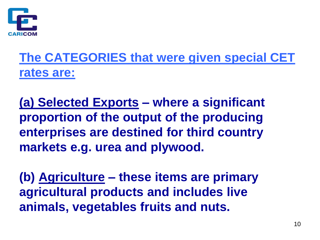

## **The CATEGORIES that were given special CET rates are:**

**(a) Selected Exports – where a significant proportion of the output of the producing enterprises are destined for third country markets e.g. urea and plywood.**

**(b) Agriculture – these items are primary agricultural products and includes live animals, vegetables fruits and nuts.**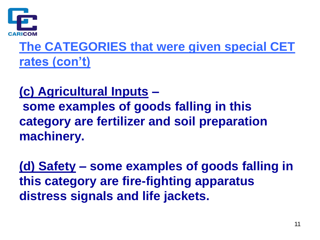

**The CATEGORIES that were given special CET rates (con't)**

**(c) Agricultural Inputs – some examples of goods falling in this category are fertilizer and soil preparation machinery.**

**(d) Safety – some examples of goods falling in this category are fire-fighting apparatus distress signals and life jackets.**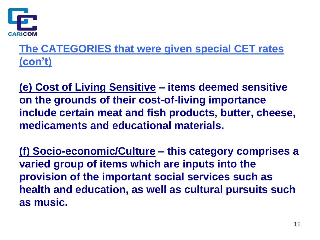

#### **The CATEGORIES that were given special CET rates (con't)**

**(e) Cost of Living Sensitive – items deemed sensitive on the grounds of their cost-of-living importance include certain meat and fish products, butter, cheese, medicaments and educational materials.**

**(f) Socio-economic/Culture – this category comprises a varied group of items which are inputs into the provision of the important social services such as health and education, as well as cultural pursuits such as music.**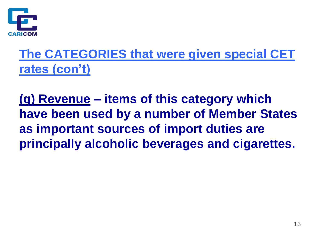

### **The CATEGORIES that were given special CET rates (con't)**

**(g) Revenue – items of this category which have been used by a number of Member States as important sources of import duties are principally alcoholic beverages and cigarettes.**